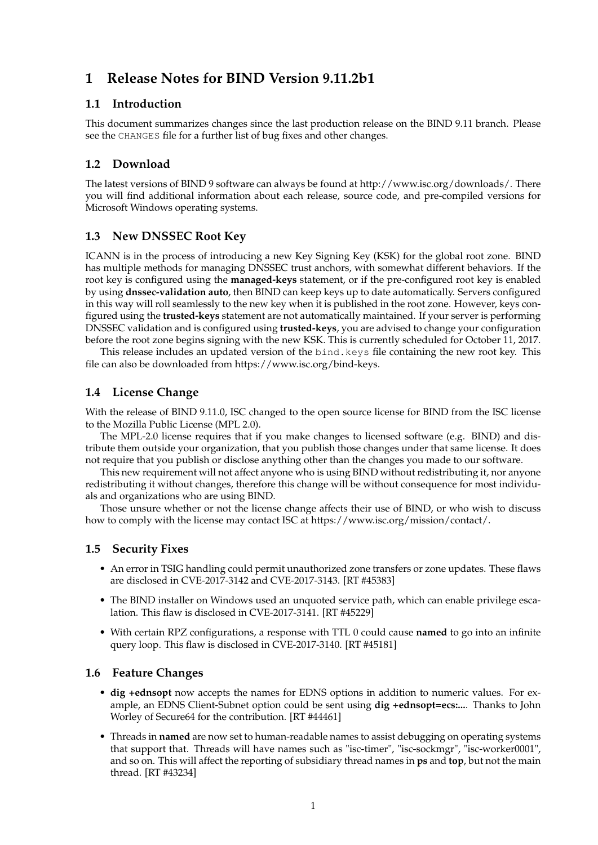# **1 Release Notes for BIND Version 9.11.2b1**

### **1.1 Introduction**

This document summarizes changes since the last production release on the BIND 9.11 branch. Please see the CHANGES file for a further list of bug fixes and other changes.

## **1.2 Download**

The latest versions of BIND 9 software can always be found at http://www.isc.org/downloads/. There you will find additional information about each release, source code, and pre-compiled versions for Microsoft Windows operating systems.

### **1.3 New DNSSEC Root Key**

ICANN is in the process of introducing a new Key Signing Key (KSK) for the global root zone. BIND has multiple methods for managing DNSSEC trust anchors, with somewhat different behaviors. If the root key is configured using the **managed-keys** statement, or if the pre-configured root key is enabled by using **dnssec-validation auto**, then BIND can keep keys up to date automatically. Servers configured in this way will roll seamlessly to the new key when it is published in the root zone. However, keys configured using the **trusted-keys** statement are not automatically maintained. If your server is performing DNSSEC validation and is configured using **trusted-keys**, you are advised to change your configuration before the root zone begins signing with the new KSK. This is currently scheduled for October 11, 2017.

This release includes an updated version of the bind.keys file containing the new root key. This file can also be downloaded from https://www.isc.org/bind-keys.

### **1.4 License Change**

With the release of BIND 9.11.0, ISC changed to the open source license for BIND from the ISC license to the Mozilla Public License (MPL 2.0).

The MPL-2.0 license requires that if you make changes to licensed software (e.g. BIND) and distribute them outside your organization, that you publish those changes under that same license. It does not require that you publish or disclose anything other than the changes you made to our software.

This new requirement will not affect anyone who is using BIND without redistributing it, nor anyone redistributing it without changes, therefore this change will be without consequence for most individuals and organizations who are using BIND.

Those unsure whether or not the license change affects their use of BIND, or who wish to discuss how to comply with the license may contact ISC at https://www.isc.org/mission/contact/.

### **1.5 Security Fixes**

- An error in TSIG handling could permit unauthorized zone transfers or zone updates. These flaws are disclosed in CVE-2017-3142 and CVE-2017-3143. [RT #45383]
- The BIND installer on Windows used an unquoted service path, which can enable privilege escalation. This flaw is disclosed in CVE-2017-3141. [RT #45229]
- With certain RPZ configurations, a response with TTL 0 could cause **named** to go into an infinite query loop. This flaw is disclosed in CVE-2017-3140. [RT #45181]

#### **1.6 Feature Changes**

- **dig +ednsopt** now accepts the names for EDNS options in addition to numeric values. For example, an EDNS Client-Subnet option could be sent using **dig +ednsopt=ecs:...**. Thanks to John Worley of Secure64 for the contribution. [RT #44461]
- Threads in **named** are now set to human-readable names to assist debugging on operating systems that support that. Threads will have names such as "isc-timer", "isc-sockmgr", "isc-worker0001", and so on. This will affect the reporting of subsidiary thread names in **ps** and **top**, but not the main thread. [RT #43234]